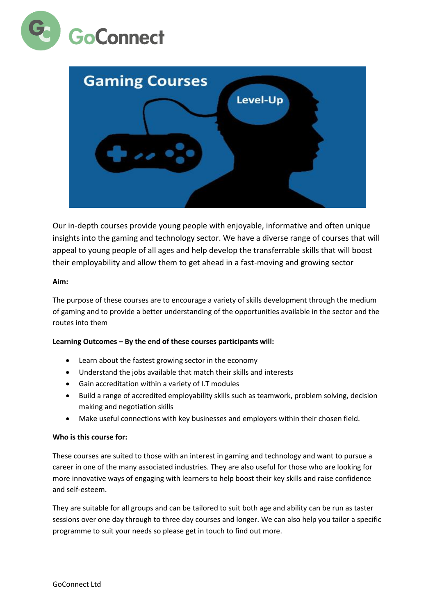



Our in-depth courses provide young people with enjoyable, informative and often unique insights into the gaming and technology sector. We have a diverse range of courses that will appeal to young people of all ages and help develop the transferrable skills that will boost their employability and allow them to get ahead in a fast-moving and growing sector

# **Aim:**

The purpose of these courses are to encourage a variety of skills development through the medium of gaming and to provide a better understanding of the opportunities available in the sector and the routes into them

# **Learning Outcomes – By the end of these courses participants will:**

- Learn about the fastest growing sector in the economy
- Understand the jobs available that match their skills and interests
- Gain accreditation within a variety of I.T modules
- Build a range of accredited employability skills such as teamwork, problem solving, decision making and negotiation skills
- Make useful connections with key businesses and employers within their chosen field.

#### **Who is this course for:**

These courses are suited to those with an interest in gaming and technology and want to pursue a career in one of the many associated industries. They are also useful for those who are looking for more innovative ways of engaging with learners to help boost their key skills and raise confidence and self-esteem.

They are suitable for all groups and can be tailored to suit both age and ability can be run as taster sessions over one day through to three day courses and longer. We can also help you tailor a specific programme to suit your needs so please get in touch to find out more.